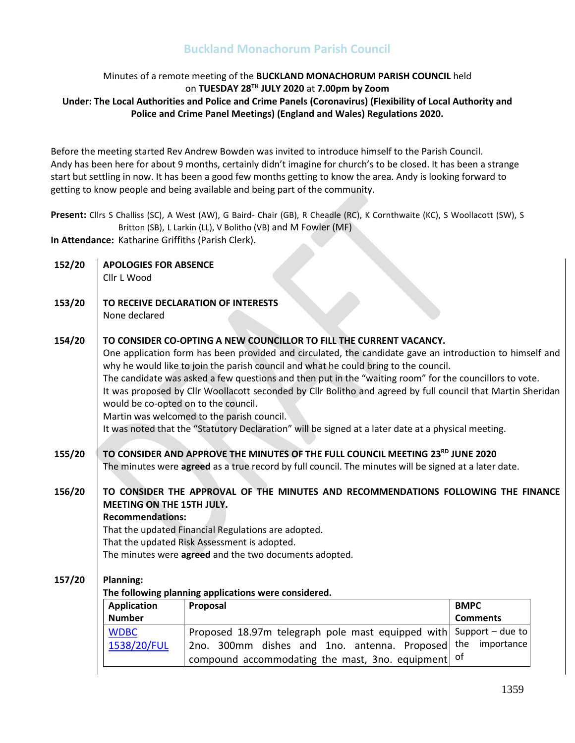### Minutes of a remote meeting of the **BUCKLAND MONACHORUM PARISH COUNCIL** held on **TUESDAY 28 TH JULY 2020** at **7.00pm by Zoom Under: The Local Authorities and Police and Crime Panels (Coronavirus) (Flexibility of Local Authority and Police and Crime Panel Meetings) (England and Wales) Regulations 2020.**

Before the meeting started Rev Andrew Bowden was invited to introduce himself to the Parish Council. Andy has been here for about 9 months, certainly didn't imagine for church's to be closed. It has been a strange start but settling in now. It has been a good few months getting to know the area. Andy is looking forward to getting to know people and being available and being part of the community.

**Present:** Cllrs S Challiss (SC), A West (AW), G Baird- Chair (GB), R Cheadle (RC), K Cornthwaite (KC), S Woollacott (SW), S Britton (SB), L Larkin (LL), V Bolitho (VB) and M Fowler (MF)

**In Attendance:** Katharine Griffiths (Parish Clerk).

| 152/20 | <b>APOLOGIES FOR ABSENCE</b>                           |                                                                                                             |                    |
|--------|--------------------------------------------------------|-------------------------------------------------------------------------------------------------------------|--------------------|
|        | Cllr L Wood                                            |                                                                                                             |                    |
|        |                                                        |                                                                                                             |                    |
| 153/20 |                                                        | TO RECEIVE DECLARATION OF INTERESTS                                                                         |                    |
|        | None declared                                          |                                                                                                             |                    |
|        |                                                        |                                                                                                             |                    |
| 154/20 |                                                        | TO CONSIDER CO-OPTING A NEW COUNCILLOR TO FILL THE CURRENT VACANCY.                                         |                    |
|        |                                                        | One application form has been provided and circulated, the candidate gave an introduction to himself and    |                    |
|        |                                                        | why he would like to join the parish council and what he could bring to the council.                        |                    |
|        |                                                        | The candidate was asked a few questions and then put in the "waiting room" for the councillors to vote.     |                    |
|        |                                                        | It was proposed by Cllr Woollacott seconded by Cllr Bolitho and agreed by full council that Martin Sheridan |                    |
|        | would be co-opted on to the council.                   |                                                                                                             |                    |
|        |                                                        | Martin was welcomed to the parish council.                                                                  |                    |
|        |                                                        | It was noted that the "Statutory Declaration" will be signed at a later date at a physical meeting.         |                    |
|        |                                                        |                                                                                                             |                    |
| 155/20 |                                                        | TO CONSIDER AND APPROVE THE MINUTES OF THE FULL COUNCIL MEETING 23RD JUNE 2020                              |                    |
|        |                                                        | The minutes were agreed as a true record by full council. The minutes will be signed at a later date.       |                    |
|        |                                                        |                                                                                                             |                    |
| 156/20 |                                                        | TO CONSIDER THE APPROVAL OF THE MINUTES AND RECOMMENDATIONS FOLLOWING THE FINANCE                           |                    |
|        | MEETING ON THE 15TH JULY.                              |                                                                                                             |                    |
|        | <b>Recommendations:</b>                                |                                                                                                             |                    |
|        |                                                        | That the updated Financial Regulations are adopted.                                                         |                    |
|        | That the updated Risk Assessment is adopted.           |                                                                                                             |                    |
|        | The minutes were agreed and the two documents adopted. |                                                                                                             |                    |
|        |                                                        |                                                                                                             |                    |
| 157/20 | <b>Planning:</b>                                       |                                                                                                             |                    |
|        |                                                        | The following planning applications were considered.                                                        |                    |
|        | <b>Application</b>                                     | Proposal                                                                                                    | <b>BMPC</b>        |
|        | <b>Number</b>                                          |                                                                                                             | <b>Comments</b>    |
|        | <b>WDBC</b>                                            | Proposed 18.97m telegraph pole mast equipped with                                                           | Support $-$ due to |
|        | 1538/20/FUL                                            | 2no. 300mm dishes and 1no. antenna. Proposed                                                                | the<br>importance  |
|        |                                                        | compound accommodating the mast, 3no. equipment                                                             | of                 |
|        |                                                        |                                                                                                             |                    |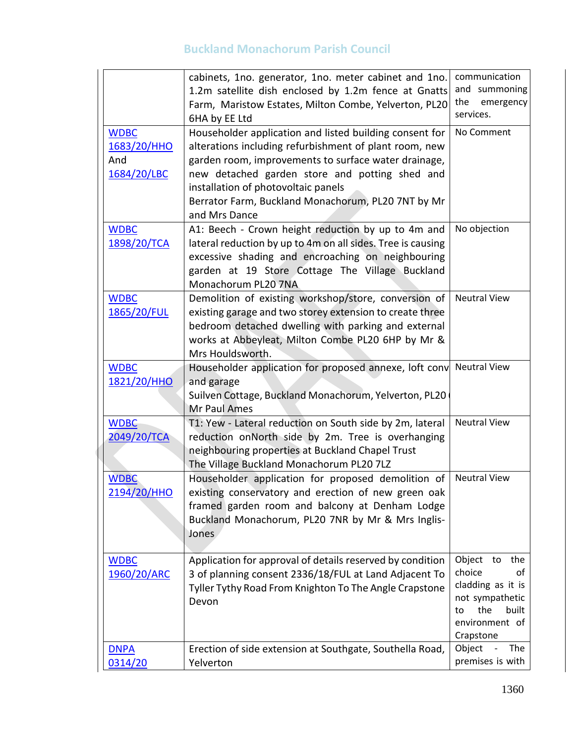|                                                  | cabinets, 1no. generator, 1no. meter cabinet and 1no.<br>1.2m satellite dish enclosed by 1.2m fence at Gnatts<br>Farm, Maristow Estates, Milton Combe, Yelverton, PL20<br>6HA by EE Ltd                                                                                                                                                   | communication<br>and summoning<br>the<br>emergency<br>services.                                                                  |
|--------------------------------------------------|-------------------------------------------------------------------------------------------------------------------------------------------------------------------------------------------------------------------------------------------------------------------------------------------------------------------------------------------|----------------------------------------------------------------------------------------------------------------------------------|
| <b>WDBC</b><br>1683/20/HHO<br>And<br>1684/20/LBC | Householder application and listed building consent for<br>alterations including refurbishment of plant room, new<br>garden room, improvements to surface water drainage,<br>new detached garden store and potting shed and<br>installation of photovoltaic panels<br>Berrator Farm, Buckland Monachorum, PL20 7NT by Mr<br>and Mrs Dance | No Comment                                                                                                                       |
| <b>WDBC</b><br>1898/20/TCA                       | A1: Beech - Crown height reduction by up to 4m and<br>lateral reduction by up to 4m on all sides. Tree is causing<br>excessive shading and encroaching on neighbouring<br>garden at 19 Store Cottage The Village Buckland<br>Monachorum PL20 7NA                                                                                          | No objection                                                                                                                     |
| <b>WDBC</b><br>1865/20/FUL                       | Demolition of existing workshop/store, conversion of<br>existing garage and two storey extension to create three<br>bedroom detached dwelling with parking and external<br>works at Abbeyleat, Milton Combe PL20 6HP by Mr &<br>Mrs Houldsworth.                                                                                          | <b>Neutral View</b>                                                                                                              |
| <b>WDBC</b><br>1821/20/HHO                       | Householder application for proposed annexe, loft conv Neutral View<br>and garage<br>Suilven Cottage, Buckland Monachorum, Yelverton, PL20<br>Mr Paul Ames                                                                                                                                                                                |                                                                                                                                  |
| <b>WDBC</b><br>2049/20/TCA                       | T1: Yew - Lateral reduction on South side by 2m, lateral<br>reduction onNorth side by 2m. Tree is overhanging<br>neighbouring properties at Buckland Chapel Trust<br>The Village Buckland Monachorum PL20 7LZ                                                                                                                             | <b>Neutral View</b>                                                                                                              |
| <b>WDBC</b><br>2194/20/HHO                       | Householder application for proposed demolition of<br>existing conservatory and erection of new green oak<br>framed garden room and balcony at Denham Lodge<br>Buckland Monachorum, PL20 7NR by Mr & Mrs Inglis-<br>Jones                                                                                                                 | <b>Neutral View</b>                                                                                                              |
| <b>WDBC</b><br>1960/20/ARC                       | Application for approval of details reserved by condition<br>3 of planning consent 2336/18/FUL at Land Adjacent To<br>Tyller Tythy Road From Knighton To The Angle Crapstone<br>Devon                                                                                                                                                     | Object<br>the<br>to<br>choice<br>οf<br>cladding as it is<br>not sympathetic<br>the<br>built<br>to<br>environment of<br>Crapstone |
| <b>DNPA</b><br>0314/20                           | Erection of side extension at Southgate, Southella Road,<br>Yelverton                                                                                                                                                                                                                                                                     | Object<br>The<br>premises is with                                                                                                |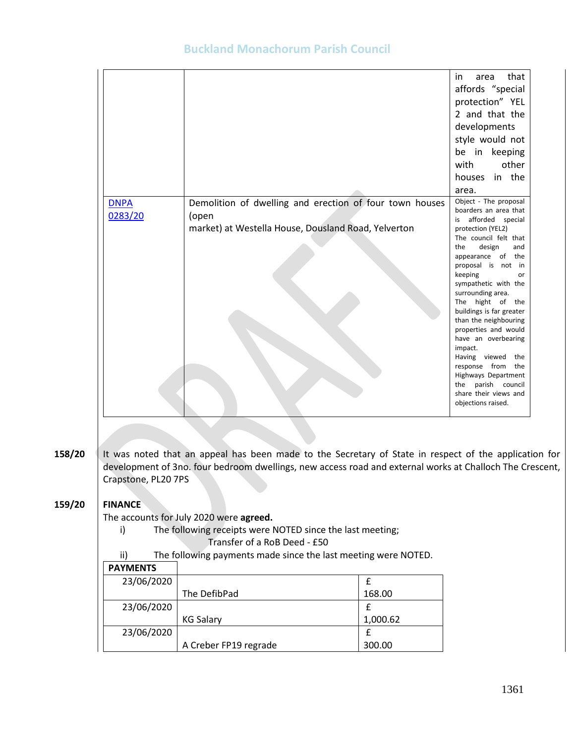| 0283/20<br>(open<br>afforded special<br>is<br>market) at Westella House, Dousland Road, Yelverton<br>design<br>the<br>keeping<br>impact. |             |                                                         | that<br>in<br>area<br>affords "special<br>protection" YEL<br>2 and that the<br>developments<br>style would not<br>be in keeping<br>other<br>with<br>houses in the<br>area.                                                                                                                                                                                                               |
|------------------------------------------------------------------------------------------------------------------------------------------|-------------|---------------------------------------------------------|------------------------------------------------------------------------------------------------------------------------------------------------------------------------------------------------------------------------------------------------------------------------------------------------------------------------------------------------------------------------------------------|
|                                                                                                                                          | <b>DNPA</b> | Demolition of dwelling and erection of four town houses | Object - The proposal<br>boarders an area that                                                                                                                                                                                                                                                                                                                                           |
|                                                                                                                                          |             |                                                         | protection (YEL2)                                                                                                                                                                                                                                                                                                                                                                        |
|                                                                                                                                          |             |                                                         | The council felt that<br>and<br>appearance of the<br>proposal is not in<br>or<br>sympathetic with the<br>surrounding area.<br>The hight of the<br>buildings is far greater<br>than the neighbouring<br>properties and would<br>have an overbearing<br>Having viewed the<br>response from the<br>Highways Department<br>the parish council<br>share their views and<br>objections raised. |

**158/20** It was noted that an appeal has been made to the Secretary of State in respect of the application for development of 3no. four bedroom dwellings, new access road and external works at Challoch The Crescent, Crapstone, PL20 7PS

#### **159/20 FINANCE**

The accounts for July 2020 were **agreed.**

- i) The following receipts were NOTED since the last meeting;
	- Transfer of a RoB Deed £50
- ii) The following payments made since the last meeting were NOTED.

| <b>PAYMENTS</b> |                       |          |
|-----------------|-----------------------|----------|
| 23/06/2020      |                       |          |
|                 | The DefibPad          | 168.00   |
| 23/06/2020      |                       |          |
|                 | <b>KG Salary</b>      | 1,000.62 |
| 23/06/2020      |                       |          |
|                 | A Creber FP19 regrade | 300.00   |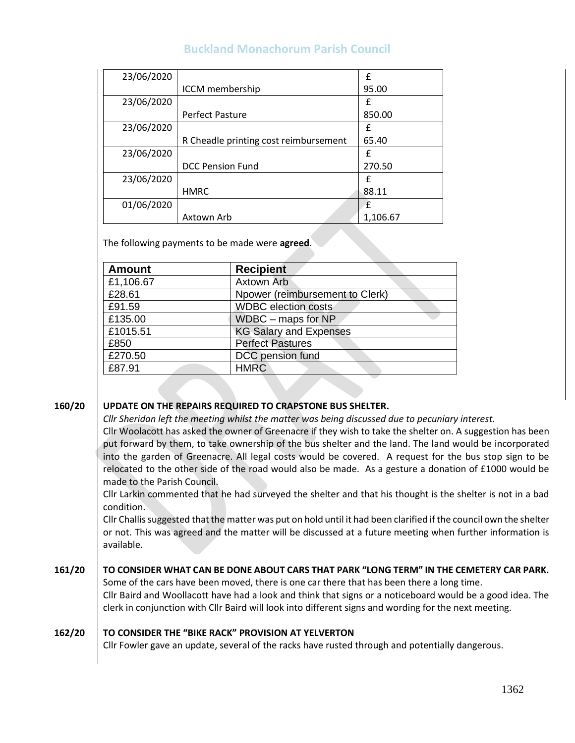| 23/06/2020 |                                       | f        |
|------------|---------------------------------------|----------|
|            | ICCM membership                       | 95.00    |
| 23/06/2020 |                                       | £        |
|            | Perfect Pasture                       | 850.00   |
| 23/06/2020 |                                       | £        |
|            | R Cheadle printing cost reimbursement | 65.40    |
| 23/06/2020 |                                       | £        |
|            | <b>DCC Pension Fund</b>               | 270.50   |
| 23/06/2020 |                                       | £        |
|            | <b>HMRC</b>                           | 88.11    |
| 01/06/2020 |                                       | £        |
|            | Axtown Arb                            | 1,106.67 |

The following payments to be made were **agreed**.

| <b>Amount</b> | <b>Recipient</b>                |
|---------------|---------------------------------|
| £1,106.67     | <b>Axtown Arb</b>               |
| £28.61        | Npower (reimbursement to Clerk) |
| £91.59        | <b>WDBC</b> election costs      |
| £135.00       | WDBC - maps for NP              |
| £1015.51      | <b>KG Salary and Expenses</b>   |
| £850          | <b>Perfect Pastures</b>         |
| £270.50       | DCC pension fund                |
| £87.91        | <b>HMRC</b>                     |

#### **160/20 UPDATE ON THE REPAIRS REQUIRED TO CRAPSTONE BUS SHELTER.**

*Cllr Sheridan left the meeting whilst the matter was being discussed due to pecuniary interest.* 

Cllr Woolacott has asked the owner of Greenacre if they wish to take the shelter on. A suggestion has been put forward by them, to take ownership of the bus shelter and the land. The land would be incorporated into the garden of Greenacre. All legal costs would be covered. A request for the bus stop sign to be relocated to the other side of the road would also be made. As a gesture a donation of £1000 would be made to the Parish Council.

Cllr Larkin commented that he had surveyed the shelter and that his thought is the shelter is not in a bad condition.

Cllr Challis suggested that the matter was put on hold until it had been clarified if the council own the shelter or not. This was agreed and the matter will be discussed at a future meeting when further information is available.

#### **161/20 TO CONSIDER WHAT CAN BE DONE ABOUT CARS THAT PARK "LONG TERM" IN THE CEMETERY CAR PARK.**

Some of the cars have been moved, there is one car there that has been there a long time.

Cllr Baird and Woollacott have had a look and think that signs or a noticeboard would be a good idea. The clerk in conjunction with Cllr Baird will look into different signs and wording for the next meeting.

#### **162/20 TO CONSIDER THE "BIKE RACK" PROVISION AT YELVERTON**

Cllr Fowler gave an update, several of the racks have rusted through and potentially dangerous.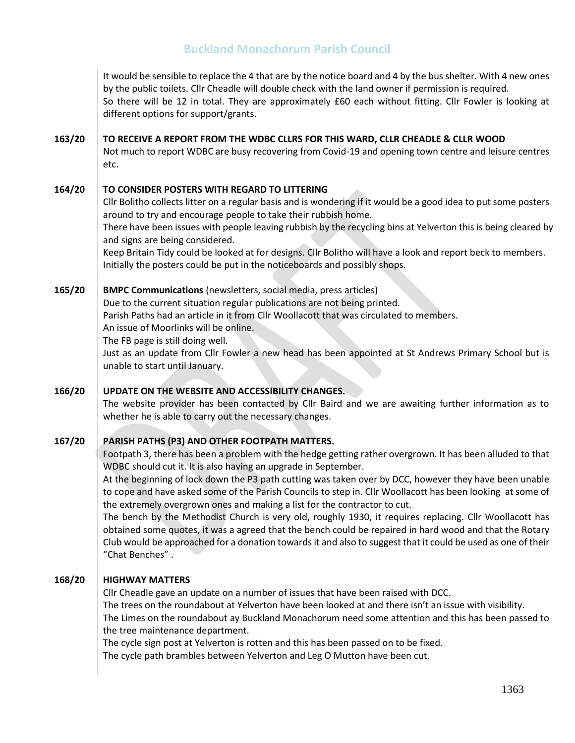**163/20 164/20 165/20 166/20 167/20 168/20** It would be sensible to replace the 4 that are by the notice board and 4 by the bus shelter. With 4 new ones by the public toilets. Cllr Cheadle will double check with the land owner if permission is required. So there will be 12 in total. They are approximately £60 each without fitting. Cllr Fowler is looking at different options for support/grants. **TO RECEIVE A REPORT FROM THE WDBC CLLRS FOR THIS WARD, CLLR CHEADLE & CLLR WOOD** Not much to report WDBC are busy recovering from Covid-19 and opening town centre and leisure centres etc. **TO CONSIDER POSTERS WITH REGARD TO LITTERING**  Cllr Bolitho collects litter on a regular basis and is wondering if it would be a good idea to put some posters around to try and encourage people to take their rubbish home. There have been issues with people leaving rubbish by the recycling bins at Yelverton this is being cleared by and signs are being considered. Keep Britain Tidy could be looked at for designs. Cllr Bolitho will have a look and report beck to members. Initially the posters could be put in the noticeboards and possibly shops. **BMPC Communications** (newsletters, social media, press articles) Due to the current situation regular publications are not being printed. Parish Paths had an article in it from Cllr Woollacott that was circulated to members. An issue of Moorlinks will be online. The FB page is still doing well. Just as an update from Cllr Fowler a new head has been appointed at St Andrews Primary School but is unable to start until January. **UPDATE ON THE WEBSITE AND ACCESSIBILITY CHANGES.** The website provider has been contacted by Cllr Baird and we are awaiting further information as to whether he is able to carry out the necessary changes. **PARISH PATHS (P3) AND OTHER FOOTPATH MATTERS.** Footpath 3, there has been a problem with the hedge getting rather overgrown. It has been alluded to that WDBC should cut it. It is also having an upgrade in September. At the beginning of lock down the P3 path cutting was taken over by DCC, however they have been unable to cope and have asked some of the Parish Councils to step in. Cllr Woollacott has been looking at some of the extremely overgrown ones and making a list for the contractor to cut. The bench by the Methodist Church is very old, roughly 1930, it requires replacing. Cllr Woollacott has obtained some quotes, it was a agreed that the bench could be repaired in hard wood and that the Rotary Club would be approached for a donation towards it and also to suggest that it could be used as one of their "Chat Benches" . **HIGHWAY MATTERS** Cllr Cheadle gave an update on a number of issues that have been raised with DCC. The trees on the roundabout at Yelverton have been looked at and there isn't an issue with visibility. The Limes on the roundabout ay Buckland Monachorum need some attention and this has been passed to the tree maintenance department. The cycle sign post at Yelverton is rotten and this has been passed on to be fixed. The cycle path brambles between Yelverton and Leg O Mutton have been cut.